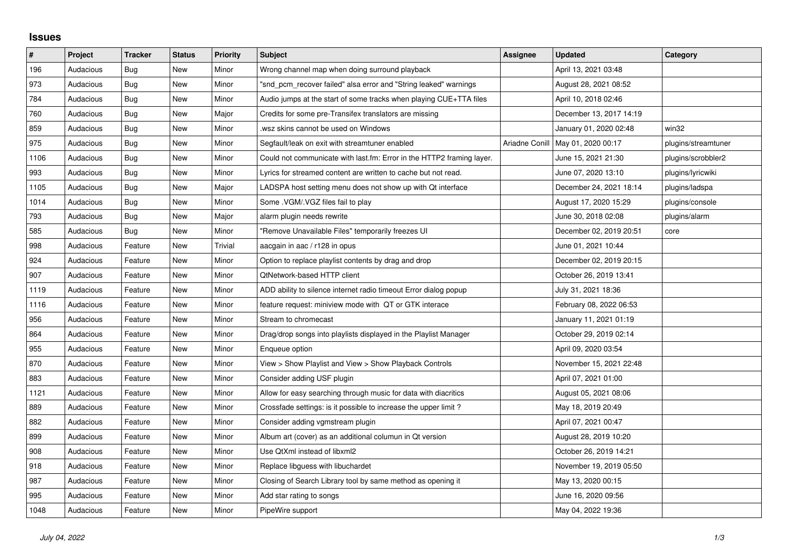## **Issues**

| #    | Project   | <b>Tracker</b> | <b>Status</b> | <b>Priority</b> | <b>Subject</b>                                                        | <b>Assignee</b> | <b>Updated</b>          | Category            |
|------|-----------|----------------|---------------|-----------------|-----------------------------------------------------------------------|-----------------|-------------------------|---------------------|
| 196  | Audacious | Bug            | <b>New</b>    | Minor           | Wrong channel map when doing surround playback                        |                 | April 13, 2021 03:48    |                     |
| 973  | Audacious | <b>Bug</b>     | <b>New</b>    | Minor           | "snd_pcm_recover failed" alsa error and "String leaked" warnings      |                 | August 28, 2021 08:52   |                     |
| 784  | Audacious | Bug            | New           | Minor           | Audio jumps at the start of some tracks when playing CUE+TTA files    |                 | April 10, 2018 02:46    |                     |
| 760  | Audacious | Bug            | <b>New</b>    | Major           | Credits for some pre-Transifex translators are missing                |                 | December 13, 2017 14:19 |                     |
| 859  | Audacious | <b>Bug</b>     | <b>New</b>    | Minor           | wsz skins cannot be used on Windows                                   |                 | January 01, 2020 02:48  | win32               |
| 975  | Audacious | Bug            | New           | Minor           | Segfault/leak on exit with streamtuner enabled                        | Ariadne Conill  | May 01, 2020 00:17      | plugins/streamtuner |
| 1106 | Audacious | Bug            | <b>New</b>    | Minor           | Could not communicate with last.fm: Error in the HTTP2 framing layer. |                 | June 15, 2021 21:30     | plugins/scrobbler2  |
| 993  | Audacious | <b>Bug</b>     | <b>New</b>    | Minor           | Lyrics for streamed content are written to cache but not read.        |                 | June 07, 2020 13:10     | plugins/lyricwiki   |
| 1105 | Audacious | <b>Bug</b>     | New           | Major           | LADSPA host setting menu does not show up with Qt interface           |                 | December 24, 2021 18:14 | plugins/ladspa      |
| 1014 | Audacious | Bug            | <b>New</b>    | Minor           | Some .VGM/.VGZ files fail to play                                     |                 | August 17, 2020 15:29   | plugins/console     |
| 793  | Audacious | <b>Bug</b>     | New           | Major           | alarm plugin needs rewrite                                            |                 | June 30, 2018 02:08     | plugins/alarm       |
| 585  | Audacious | Bug            | New           | Minor           | "Remove Unavailable Files" temporarily freezes UI                     |                 | December 02, 2019 20:51 | core                |
| 998  | Audacious | Feature        | <b>New</b>    | Trivial         | aacgain in aac / r128 in opus                                         |                 | June 01, 2021 10:44     |                     |
| 924  | Audacious | Feature        | New           | Minor           | Option to replace playlist contents by drag and drop                  |                 | December 02, 2019 20:15 |                     |
| 907  | Audacious | Feature        | New           | Minor           | QtNetwork-based HTTP client                                           |                 | October 26, 2019 13:41  |                     |
| 1119 | Audacious | Feature        | <b>New</b>    | Minor           | ADD ability to silence internet radio timeout Error dialog popup      |                 | July 31, 2021 18:36     |                     |
| 1116 | Audacious | Feature        | <b>New</b>    | Minor           | feature request: miniview mode with QT or GTK interace                |                 | February 08, 2022 06:53 |                     |
| 956  | Audacious | Feature        | New           | Minor           | Stream to chromecast                                                  |                 | January 11, 2021 01:19  |                     |
| 864  | Audacious | Feature        | <b>New</b>    | Minor           | Drag/drop songs into playlists displayed in the Playlist Manager      |                 | October 29, 2019 02:14  |                     |
| 955  | Audacious | Feature        | <b>New</b>    | Minor           | Enqueue option                                                        |                 | April 09, 2020 03:54    |                     |
| 870  | Audacious | Feature        | New           | Minor           | View > Show Playlist and View > Show Playback Controls                |                 | November 15, 2021 22:48 |                     |
| 883  | Audacious | Feature        | <b>New</b>    | Minor           | Consider adding USF plugin                                            |                 | April 07, 2021 01:00    |                     |
| 1121 | Audacious | Feature        | New           | Minor           | Allow for easy searching through music for data with diacritics       |                 | August 05, 2021 08:06   |                     |
| 889  | Audacious | Feature        | New           | Minor           | Crossfade settings: is it possible to increase the upper limit?       |                 | May 18, 2019 20:49      |                     |
| 882  | Audacious | Feature        | <b>New</b>    | Minor           | Consider adding vgmstream plugin                                      |                 | April 07, 2021 00:47    |                     |
| 899  | Audacious | Feature        | New           | Minor           | Album art (cover) as an additional columun in Qt version              |                 | August 28, 2019 10:20   |                     |
| 908  | Audacious | Feature        | New           | Minor           | Use QtXml instead of libxml2                                          |                 | October 26, 2019 14:21  |                     |
| 918  | Audacious | Feature        | <b>New</b>    | Minor           | Replace libguess with libuchardet                                     |                 | November 19, 2019 05:50 |                     |
| 987  | Audacious | Feature        | New           | Minor           | Closing of Search Library tool by same method as opening it           |                 | May 13, 2020 00:15      |                     |
| 995  | Audacious | Feature        | <b>New</b>    | Minor           | Add star rating to songs                                              |                 | June 16, 2020 09:56     |                     |
| 1048 | Audacious | Feature        | <b>New</b>    | Minor           | PipeWire support                                                      |                 | May 04, 2022 19:36      |                     |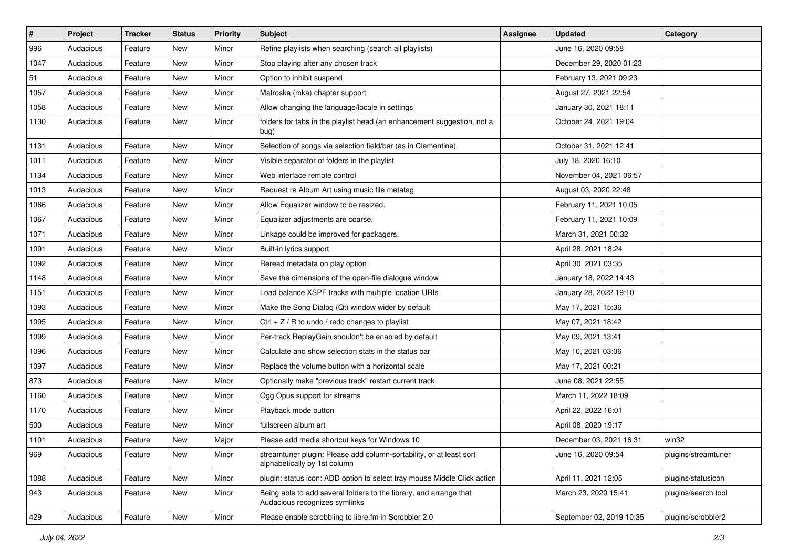| $\pmb{\#}$ | Project   | <b>Tracker</b> | <b>Status</b> | <b>Priority</b> | <b>Subject</b>                                                                                      | <b>Assignee</b> | <b>Updated</b>           | Category            |
|------------|-----------|----------------|---------------|-----------------|-----------------------------------------------------------------------------------------------------|-----------------|--------------------------|---------------------|
| 996        | Audacious | Feature        | New           | Minor           | Refine playlists when searching (search all playlists)                                              |                 | June 16, 2020 09:58      |                     |
| 1047       | Audacious | Feature        | New           | Minor           | Stop playing after any chosen track                                                                 |                 | December 29, 2020 01:23  |                     |
| 51         | Audacious | Feature        | New           | Minor           | Option to inhibit suspend                                                                           |                 | February 13, 2021 09:23  |                     |
| 1057       | Audacious | Feature        | New           | Minor           | Matroska (mka) chapter support                                                                      |                 | August 27, 2021 22:54    |                     |
| 1058       | Audacious | Feature        | New           | Minor           | Allow changing the language/locale in settings                                                      |                 | January 30, 2021 18:11   |                     |
| 1130       | Audacious | Feature        | New           | Minor           | folders for tabs in the playlist head (an enhancement suggestion, not a<br>bug)                     |                 | October 24, 2021 19:04   |                     |
| 1131       | Audacious | Feature        | New           | Minor           | Selection of songs via selection field/bar (as in Clementine)                                       |                 | October 31, 2021 12:41   |                     |
| 1011       | Audacious | Feature        | New           | Minor           | Visible separator of folders in the playlist                                                        |                 | July 18, 2020 16:10      |                     |
| 1134       | Audacious | Feature        | New           | Minor           | Web interface remote control                                                                        |                 | November 04, 2021 06:57  |                     |
| 1013       | Audacious | Feature        | New           | Minor           | Request re Album Art using music file metatag                                                       |                 | August 03, 2020 22:48    |                     |
| 1066       | Audacious | Feature        | New           | Minor           | Allow Equalizer window to be resized.                                                               |                 | February 11, 2021 10:05  |                     |
| 1067       | Audacious | Feature        | New           | Minor           | Equalizer adjustments are coarse.                                                                   |                 | February 11, 2021 10:09  |                     |
| 1071       | Audacious | Feature        | New           | Minor           | Linkage could be improved for packagers.                                                            |                 | March 31, 2021 00:32     |                     |
| 1091       | Audacious | Feature        | New           | Minor           | Built-in lyrics support                                                                             |                 | April 28, 2021 18:24     |                     |
| 1092       | Audacious | Feature        | New           | Minor           | Reread metadata on play option                                                                      |                 | April 30, 2021 03:35     |                     |
| 1148       | Audacious | Feature        | New           | Minor           | Save the dimensions of the open-file dialogue window                                                |                 | January 18, 2022 14:43   |                     |
| 1151       | Audacious | Feature        | New           | Minor           | Load balance XSPF tracks with multiple location URIs                                                |                 | January 28, 2022 19:10   |                     |
| 1093       | Audacious | Feature        | New           | Minor           | Make the Song Dialog (Qt) window wider by default                                                   |                 | May 17, 2021 15:36       |                     |
| 1095       | Audacious | Feature        | New           | Minor           | Ctrl + $Z$ / R to undo / redo changes to playlist                                                   |                 | May 07, 2021 18:42       |                     |
| 1099       | Audacious | Feature        | New           | Minor           | Per-track ReplayGain shouldn't be enabled by default                                                |                 | May 09, 2021 13:41       |                     |
| 1096       | Audacious | Feature        | New           | Minor           | Calculate and show selection stats in the status bar                                                |                 | May 10, 2021 03:06       |                     |
| 1097       | Audacious | Feature        | New           | Minor           | Replace the volume button with a horizontal scale                                                   |                 | May 17, 2021 00:21       |                     |
| 873        | Audacious | Feature        | New           | Minor           | Optionally make "previous track" restart current track                                              |                 | June 08, 2021 22:55      |                     |
| 1160       | Audacious | Feature        | New           | Minor           | Ogg Opus support for streams                                                                        |                 | March 11, 2022 18:09     |                     |
| 1170       | Audacious | Feature        | New           | Minor           | Playback mode button                                                                                |                 | April 22, 2022 16:01     |                     |
| 500        | Audacious | Feature        | New           | Minor           | fullscreen album art                                                                                |                 | April 08, 2020 19:17     |                     |
| 1101       | Audacious | Feature        | New           | Major           | Please add media shortcut keys for Windows 10                                                       |                 | December 03, 2021 16:31  | win32               |
| 969        | Audacious | Feature        | New           | Minor           | streamtuner plugin: Please add column-sortability, or at least sort<br>alphabetically by 1st column |                 | June 16, 2020 09:54      | plugins/streamtuner |
| 1088       | Audacious | Feature        | New           | Minor           | plugin: status icon: ADD option to select tray mouse Middle Click action                            |                 | April 11, 2021 12:05     | plugins/statusicon  |
| 943        | Audacious | Feature        | New           | Minor           | Being able to add several folders to the library, and arrange that<br>Audacious recognizes symlinks |                 | March 23, 2020 15:41     | plugins/search tool |
| 429        | Audacious | Feature        | New           | Minor           | Please enable scrobbling to libre.fm in Scrobbler 2.0                                               |                 | September 02, 2019 10:35 | plugins/scrobbler2  |